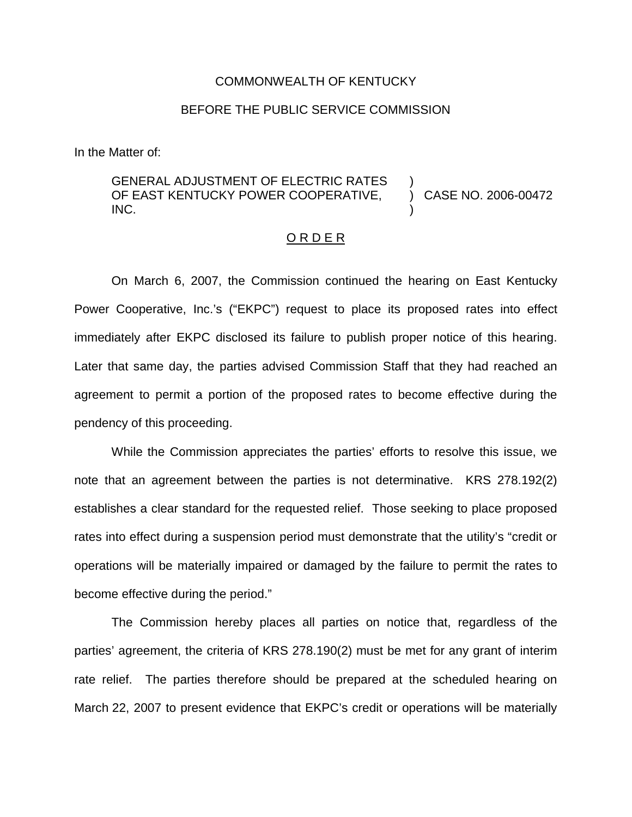## COMMONWEALTH OF KENTUCKY

## BEFORE THE PUBLIC SERVICE COMMISSION

In the Matter of:

## GENERAL ADJUSTMENT OF ELECTRIC RATES OF EAST KENTUCKY POWER COOPERATIVE, INC. ) ) CASE NO. 2006-00472 )

## O R D E R

On March 6, 2007, the Commission continued the hearing on East Kentucky Power Cooperative, Inc.'s ("EKPC") request to place its proposed rates into effect immediately after EKPC disclosed its failure to publish proper notice of this hearing. Later that same day, the parties advised Commission Staff that they had reached an agreement to permit a portion of the proposed rates to become effective during the pendency of this proceeding.

While the Commission appreciates the parties' efforts to resolve this issue, we note that an agreement between the parties is not determinative. KRS 278.192(2) establishes a clear standard for the requested relief. Those seeking to place proposed rates into effect during a suspension period must demonstrate that the utility's "credit or operations will be materially impaired or damaged by the failure to permit the rates to become effective during the period."

The Commission hereby places all parties on notice that, regardless of the parties' agreement, the criteria of KRS 278.190(2) must be met for any grant of interim rate relief. The parties therefore should be prepared at the scheduled hearing on March 22, 2007 to present evidence that EKPC's credit or operations will be materially